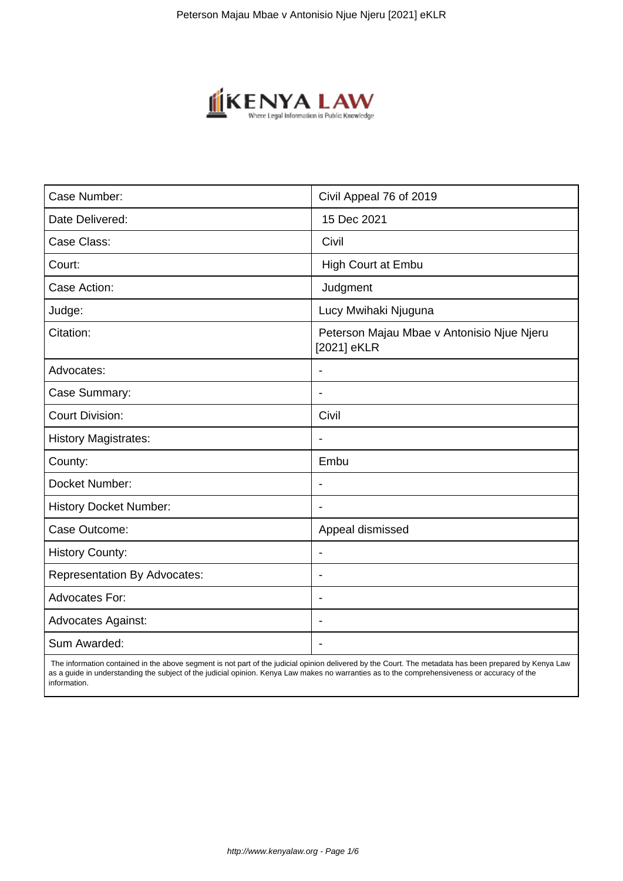

| Case Number:                        | Civil Appeal 76 of 2019                                   |
|-------------------------------------|-----------------------------------------------------------|
| Date Delivered:                     | 15 Dec 2021                                               |
| Case Class:                         | Civil                                                     |
| Court:                              | High Court at Embu                                        |
| Case Action:                        | Judgment                                                  |
| Judge:                              | Lucy Mwihaki Njuguna                                      |
| Citation:                           | Peterson Majau Mbae v Antonisio Njue Njeru<br>[2021] eKLR |
| Advocates:                          |                                                           |
| Case Summary:                       | $\blacksquare$                                            |
| <b>Court Division:</b>              | Civil                                                     |
| <b>History Magistrates:</b>         | $\overline{\phantom{a}}$                                  |
| County:                             | Embu                                                      |
| Docket Number:                      |                                                           |
| <b>History Docket Number:</b>       |                                                           |
| Case Outcome:                       | Appeal dismissed                                          |
| <b>History County:</b>              | $\overline{\phantom{a}}$                                  |
| <b>Representation By Advocates:</b> | $\blacksquare$                                            |
| Advocates For:                      | $\blacksquare$                                            |
| <b>Advocates Against:</b>           | $\blacksquare$                                            |
| Sum Awarded:                        |                                                           |

 The information contained in the above segment is not part of the judicial opinion delivered by the Court. The metadata has been prepared by Kenya Law as a guide in understanding the subject of the judicial opinion. Kenya Law makes no warranties as to the comprehensiveness or accuracy of the information.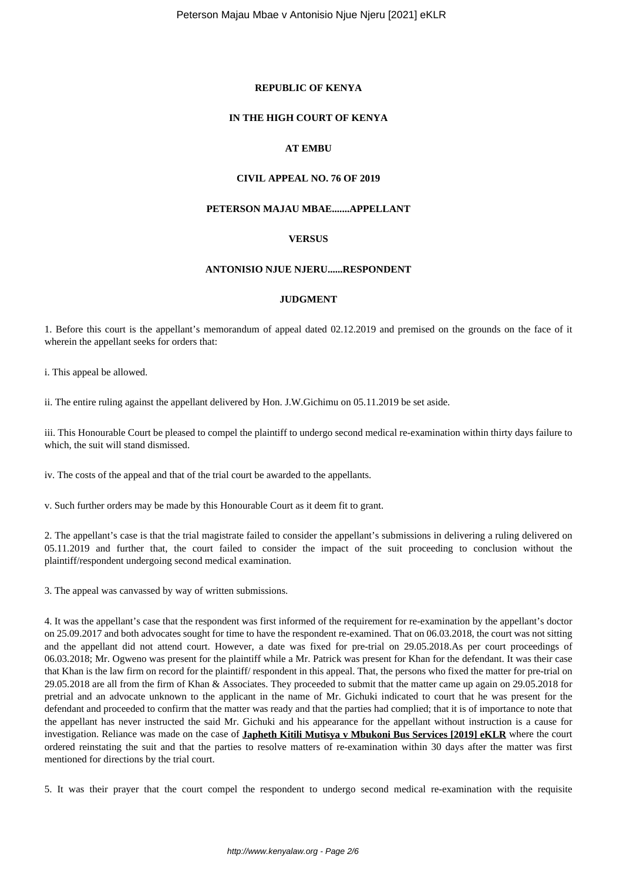## **REPUBLIC OF KENYA**

# **IN THE HIGH COURT OF KENYA**

# **AT EMBU**

# **CIVIL APPEAL NO. 76 OF 2019**

#### **PETERSON MAJAU MBAE.......APPELLANT**

# **VERSUS**

#### **ANTONISIO NJUE NJERU......RESPONDENT**

#### **JUDGMENT**

1. Before this court is the appellant's memorandum of appeal dated 02.12.2019 and premised on the grounds on the face of it wherein the appellant seeks for orders that:

i. This appeal be allowed.

ii. The entire ruling against the appellant delivered by Hon. J.W.Gichimu on 05.11.2019 be set aside.

iii. This Honourable Court be pleased to compel the plaintiff to undergo second medical re-examination within thirty days failure to which, the suit will stand dismissed.

iv. The costs of the appeal and that of the trial court be awarded to the appellants.

v. Such further orders may be made by this Honourable Court as it deem fit to grant.

2. The appellant's case is that the trial magistrate failed to consider the appellant's submissions in delivering a ruling delivered on 05.11.2019 and further that, the court failed to consider the impact of the suit proceeding to conclusion without the plaintiff/respondent undergoing second medical examination.

3. The appeal was canvassed by way of written submissions.

4. It was the appellant's case that the respondent was first informed of the requirement for re-examination by the appellant's doctor on 25.09.2017 and both advocates sought for time to have the respondent re-examined. That on 06.03.2018, the court was not sitting and the appellant did not attend court. However, a date was fixed for pre-trial on 29.05.2018.As per court proceedings of 06.03.2018; Mr. Ogweno was present for the plaintiff while a Mr. Patrick was present for Khan for the defendant. It was their case that Khan is the law firm on record for the plaintiff/ respondent in this appeal. That, the persons who fixed the matter for pre-trial on 29.05.2018 are all from the firm of Khan & Associates. They proceeded to submit that the matter came up again on 29.05.2018 for pretrial and an advocate unknown to the applicant in the name of Mr. Gichuki indicated to court that he was present for the defendant and proceeded to confirm that the matter was ready and that the parties had complied; that it is of importance to note that the appellant has never instructed the said Mr. Gichuki and his appearance for the appellant without instruction is a cause for investigation. Reliance was made on the case of **Japheth Kitili Mutisya v Mbukoni Bus Services [2019] eKLR** where the court ordered reinstating the suit and that the parties to resolve matters of re-examination within 30 days after the matter was first mentioned for directions by the trial court.

5. It was their prayer that the court compel the respondent to undergo second medical re-examination with the requisite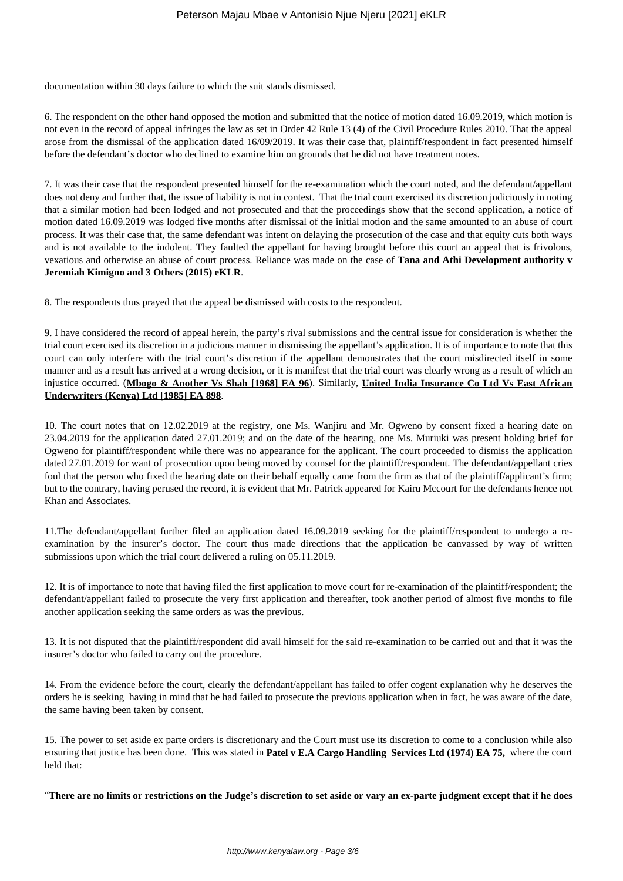documentation within 30 days failure to which the suit stands dismissed.

6. The respondent on the other hand opposed the motion and submitted that the notice of motion dated 16.09.2019, which motion is not even in the record of appeal infringes the law as set in Order 42 Rule 13 (4) of the Civil Procedure Rules 2010. That the appeal arose from the dismissal of the application dated 16/09/2019. It was their case that, plaintiff/respondent in fact presented himself before the defendant's doctor who declined to examine him on grounds that he did not have treatment notes.

7. It was their case that the respondent presented himself for the re-examination which the court noted, and the defendant/appellant does not deny and further that, the issue of liability is not in contest. That the trial court exercised its discretion judiciously in noting that a similar motion had been lodged and not prosecuted and that the proceedings show that the second application, a notice of motion dated 16.09.2019 was lodged five months after dismissal of the initial motion and the same amounted to an abuse of court process. It was their case that, the same defendant was intent on delaying the prosecution of the case and that equity cuts both ways and is not available to the indolent. They faulted the appellant for having brought before this court an appeal that is frivolous, vexatious and otherwise an abuse of court process. Reliance was made on the case of **Tana and Athi Development authority v Jeremiah Kimigno and 3 Others (2015) eKLR**.

8. The respondents thus prayed that the appeal be dismissed with costs to the respondent.

9. I have considered the record of appeal herein, the party's rival submissions and the central issue for consideration is whether the trial court exercised its discretion in a judicious manner in dismissing the appellant's application. It is of importance to note that this court can only interfere with the trial court's discretion if the appellant demonstrates that the court misdirected itself in some manner and as a result has arrived at a wrong decision, or it is manifest that the trial court was clearly wrong as a result of which an injustice occurred. (**Mbogo & Another Vs Shah [1968] EA 96**). Similarly, **United India Insurance Co Ltd Vs East African Underwriters (Kenya) Ltd [1985] EA 898**.

10. The court notes that on 12.02.2019 at the registry, one Ms. Wanjiru and Mr. Ogweno by consent fixed a hearing date on 23.04.2019 for the application dated 27.01.2019; and on the date of the hearing, one Ms. Muriuki was present holding brief for Ogweno for plaintiff/respondent while there was no appearance for the applicant. The court proceeded to dismiss the application dated 27.01.2019 for want of prosecution upon being moved by counsel for the plaintiff/respondent. The defendant/appellant cries foul that the person who fixed the hearing date on their behalf equally came from the firm as that of the plaintiff/applicant's firm; but to the contrary, having perused the record, it is evident that Mr. Patrick appeared for Kairu Mccourt for the defendants hence not Khan and Associates.

11.The defendant/appellant further filed an application dated 16.09.2019 seeking for the plaintiff/respondent to undergo a reexamination by the insurer's doctor. The court thus made directions that the application be canvassed by way of written submissions upon which the trial court delivered a ruling on 05.11.2019.

12. It is of importance to note that having filed the first application to move court for re-examination of the plaintiff/respondent; the defendant/appellant failed to prosecute the very first application and thereafter, took another period of almost five months to file another application seeking the same orders as was the previous.

13. It is not disputed that the plaintiff/respondent did avail himself for the said re-examination to be carried out and that it was the insurer's doctor who failed to carry out the procedure.

14. From the evidence before the court, clearly the defendant/appellant has failed to offer cogent explanation why he deserves the orders he is seeking having in mind that he had failed to prosecute the previous application when in fact, he was aware of the date, the same having been taken by consent.

15. The power to set aside ex parte orders is discretionary and the Court must use its discretion to come to a conclusion while also ensuring that justice has been done. This was stated in **Patel v E.A Cargo Handling Services Ltd (1974) EA 75,** where the court held that:

"**There are no limits or restrictions on the Judge's discretion to set aside or vary an ex-parte judgment except that if he does**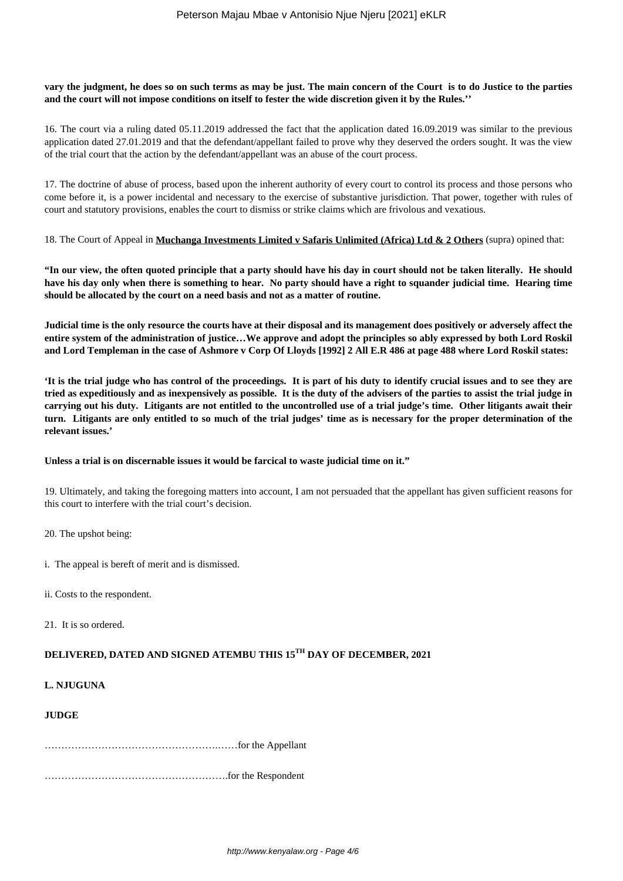# **vary the judgment, he does so on such terms as may be just. The main concern of the Court is to do Justice to the parties and the court will not impose conditions on itself to fester the wide discretion given it by the Rules.''**

16. The court via a ruling dated 05.11.2019 addressed the fact that the application dated 16.09.2019 was similar to the previous application dated 27.01.2019 and that the defendant/appellant failed to prove why they deserved the orders sought. It was the view of the trial court that the action by the defendant/appellant was an abuse of the court process.

17. The doctrine of abuse of process, based upon the inherent authority of every court to control its process and those persons who come before it, is a power incidental and necessary to the exercise of substantive jurisdiction. That power, together with rules of court and statutory provisions, enables the court to dismiss or strike claims which are frivolous and vexatious.

## 18. The Court of Appeal in **Muchanga Investments Limited v Safaris Unlimited (Africa) Ltd & 2 Others** (supra) opined that:

**"In our view, the often quoted principle that a party should have his day in court should not be taken literally. He should have his day only when there is something to hear. No party should have a right to squander judicial time. Hearing time should be allocated by the court on a need basis and not as a matter of routine.** 

**Judicial time is the only resource the courts have at their disposal and its management does positively or adversely affect the entire system of the administration of justice…We approve and adopt the principles so ably expressed by both Lord Roskil and Lord Templeman in the case of Ashmore v Corp Of Lloyds [1992] 2 All E.R 486 at page 488 where Lord Roskil states:**

**'It is the trial judge who has control of the proceedings. It is part of his duty to identify crucial issues and to see they are tried as expeditiously and as inexpensively as possible. It is the duty of the advisers of the parties to assist the trial judge in carrying out his duty. Litigants are not entitled to the uncontrolled use of a trial judge's time. Other litigants await their turn. Litigants are only entitled to so much of the trial judges' time as is necessary for the proper determination of the relevant issues.'**

# **Unless a trial is on discernable issues it would be farcical to waste judicial time on it."**

19. Ultimately, and taking the foregoing matters into account, I am not persuaded that the appellant has given sufficient reasons for this court to interfere with the trial court's decision.

20. The upshot being:

i. The appeal is bereft of merit and is dismissed.

ii. Costs to the respondent.

21. It is so ordered.

# **DELIVERED, DATED AND SIGNED ATEMBU THIS 15TH DAY OF DECEMBER, 2021**

# **L. NJUGUNA**

# **JUDGE**

…………………………………………….……for the Appellant

……………………………………………….for the Respondent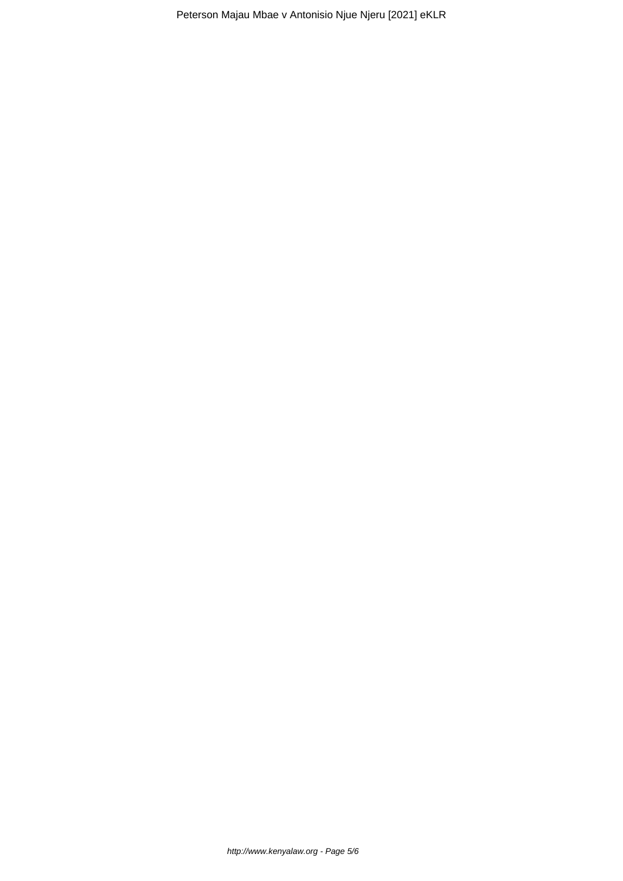Peterson Majau Mbae v Antonisio Njue Njeru [2021] eKLR